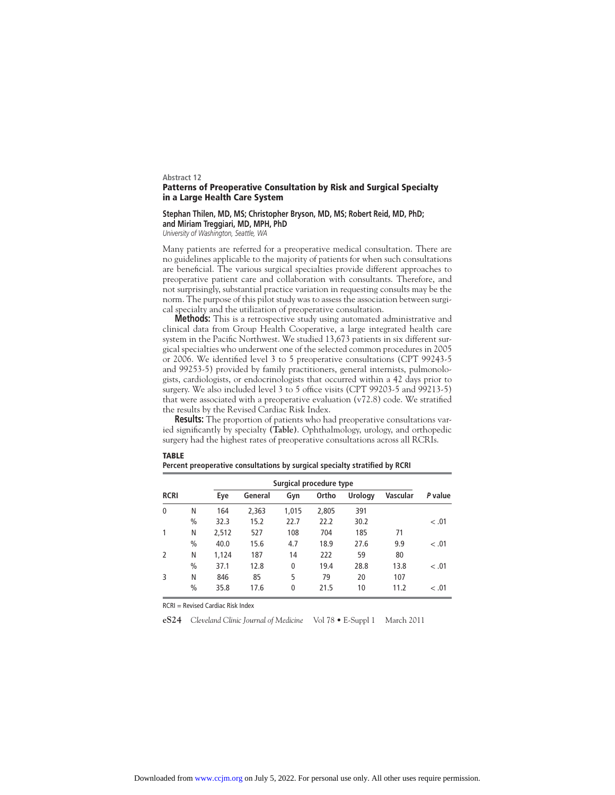## **Abstract 12 Patterns of Preoperative Consultation by Risk and Surgical Specialty in a Large Health Care System**

## **Stephan Thilen, MD, MS; Christopher Bryson, MD, MS; Robert Reid, MD, PhD; and Miriam Treggiari, MD, MPH, PhD**

*University of Washington, Seattle, WA*

Many patients are referred for a preoperative medical consultation. There are no guidelines applicable to the majority of patients for when such consultations are beneficial. The various surgical specialties provide different approaches to preoperative patient care and collaboration with consultants. Therefore, and not surprisingly, substantial practice variation in requesting consults may be the norm. The purpose of this pilot study was to assess the association between surgical specialty and the utilization of preoperative consultation.

**Methods:** This is a retrospective study using automated administrative and clinical data from Group Health Cooperative, a large integrated health care system in the Pacific Northwest. We studied 13,673 patients in six different surgical specialties who underwent one of the selected common procedures in 2005 or 2006. We identified level 3 to 5 preoperative consultations (CPT 99243-5 and 99253-5) provided by family practitioners, general internists, pulmonologists, cardiologists, or endocrinologists that occurred within a 42 days prior to surgery. We also included level 3 to 5 office visits (CPT 99203-5 and 99213-5) that were associated with a preoperative evaluation  $(v72.8)$  code. We stratified the results by the Revised Cardiac Risk Index.

**Results:** The proportion of patients who had preoperative consultations varied significantly by specialty (Table). Ophthalmology, urology, and orthopedic surgery had the highest rates of preoperative consultations across all RCRIs.

|               |               |       | Surgical procedure type |             |       |                |                 |         |
|---------------|---------------|-------|-------------------------|-------------|-------|----------------|-----------------|---------|
| <b>RCRI</b>   |               | Eye   | General                 | Gyn         | Ortho | <b>Urology</b> | <b>Vascular</b> | P value |
| $\mathbf{0}$  | N             | 164   | 2.363                   | 1,015       | 2,805 | 391            |                 |         |
|               | $\frac{0}{0}$ | 32.3  | 15.2                    | 22.7        | 22.2  | 30.2           |                 | < 0.01  |
| 1             | N             | 2,512 | 527                     | 108         | 704   | 185            | 71              |         |
|               | $\frac{0}{0}$ | 40.0  | 15.6                    | 4.7         | 18.9  | 27.6           | 9.9             | < 0.01  |
| $\mathcal{P}$ | N             | 1,124 | 187                     | 14          | 222   | 59             | 80              |         |
|               | $\frac{0}{0}$ | 37.1  | 12.8                    | 0           | 19.4  | 28.8           | 13.8            | < 0.01  |
| 3             | N             | 846   | 85                      | 5           | 79    | 20             | 107             |         |
|               | $\frac{0}{0}$ | 35.8  | 17.6                    | $\mathbf 0$ | 21.5  | 10             | 11.2            | < 0.01  |

Percent preoperative consultations by surgical specialty stratified by RCRI

RCRI = Revised Cardiac Risk Index

**TABLE**

**eS24** *Cleveland Clinic Journal of Medicine* Vol 78 • E-Suppl 1 March 2011